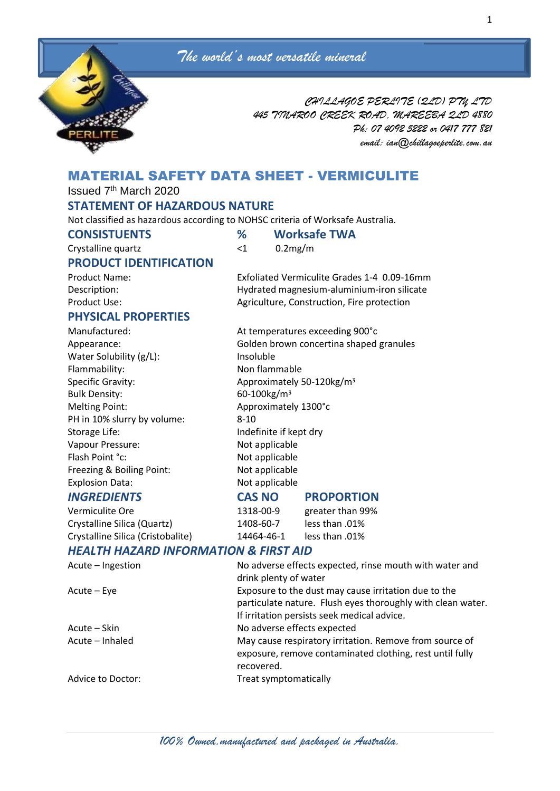

*CHILLAGOE PERLITE (QLD) PTY LTD 445 TINAROO CREEK ROAD, MAREEBA QLD 4880 Ph: 07 4092 5222 or 0417 777 821 email: ian@chillagoeperlite.com.au*

# MATERIAL SAFETY DATA SHEET - VERMICULITE

Issued 7th March 2020

## **STATEMENT OF HAZARDOUS NATURE**

Not classified as hazardous according to NOHSC criteria of Worksafe Australia.

| <b>CONSISTUENTS</b> |  |
|---------------------|--|
|---------------------|--|

**CONSISTUENTS % Worksafe TWA**

| Crystalline quartz            | -1 | $0.2$ mg/m |
|-------------------------------|----|------------|
| <b>PRODUCT IDENTIFICATION</b> |    |            |

Product Name: Exfoliated Vermiculite Grades 1-4 0.09-16mm Description: Hydrated magnesium-aluminium-iron silicate Product Use: Notice and Agriculture, Construction, Fire protection

## **PHYSICAL PROPERTIES**

Manufactured: Manufactured: At temperatures exceeding 900°c Appearance: Golden brown concertina shaped granules Water Solubility (g/L): Insoluble Flammability: Non flammable Specific Gravity: Approximately 50-120kg/m<sup>3</sup> Bulk Density: 60-100kg/m<sup>3</sup> Melting Point: Approximately 1300°c PH in 10% slurry by volume: 8-10 Storage Life: Indefinite if kept dry Vapour Pressure: Not applicable Flash Point °c: Not applicable Freezing & Boiling Point: Not applicable Explosion Data: Not applicable

Crystalline Silica (Quartz) 1408-60-7 less than .01% Crystalline Silica (Cristobalite) 14464-46-1 less than .01%

# *INGREDIENTS* **CAS NO PROPORTION**

Vermiculite Ore 1318-00-9 greater than 99%

# *HEALTH HAZARD INFORMATION & FIRST AID*

| Acute - Ingestion | No adverse effects expected, rinse mouth with water and     |  |  |
|-------------------|-------------------------------------------------------------|--|--|
|                   | drink plenty of water                                       |  |  |
| Acute – Eye       | Exposure to the dust may cause irritation due to the        |  |  |
|                   | particulate nature. Flush eyes thoroughly with clean water. |  |  |
|                   | If irritation persists seek medical advice.                 |  |  |
| Acute – Skin      | No adverse effects expected                                 |  |  |
| Acute - Inhaled   | May cause respiratory irritation. Remove from source of     |  |  |
|                   | exposure, remove contaminated clothing, rest until fully    |  |  |
|                   | recovered.                                                  |  |  |
| Advice to Doctor: | Treat symptomatically                                       |  |  |